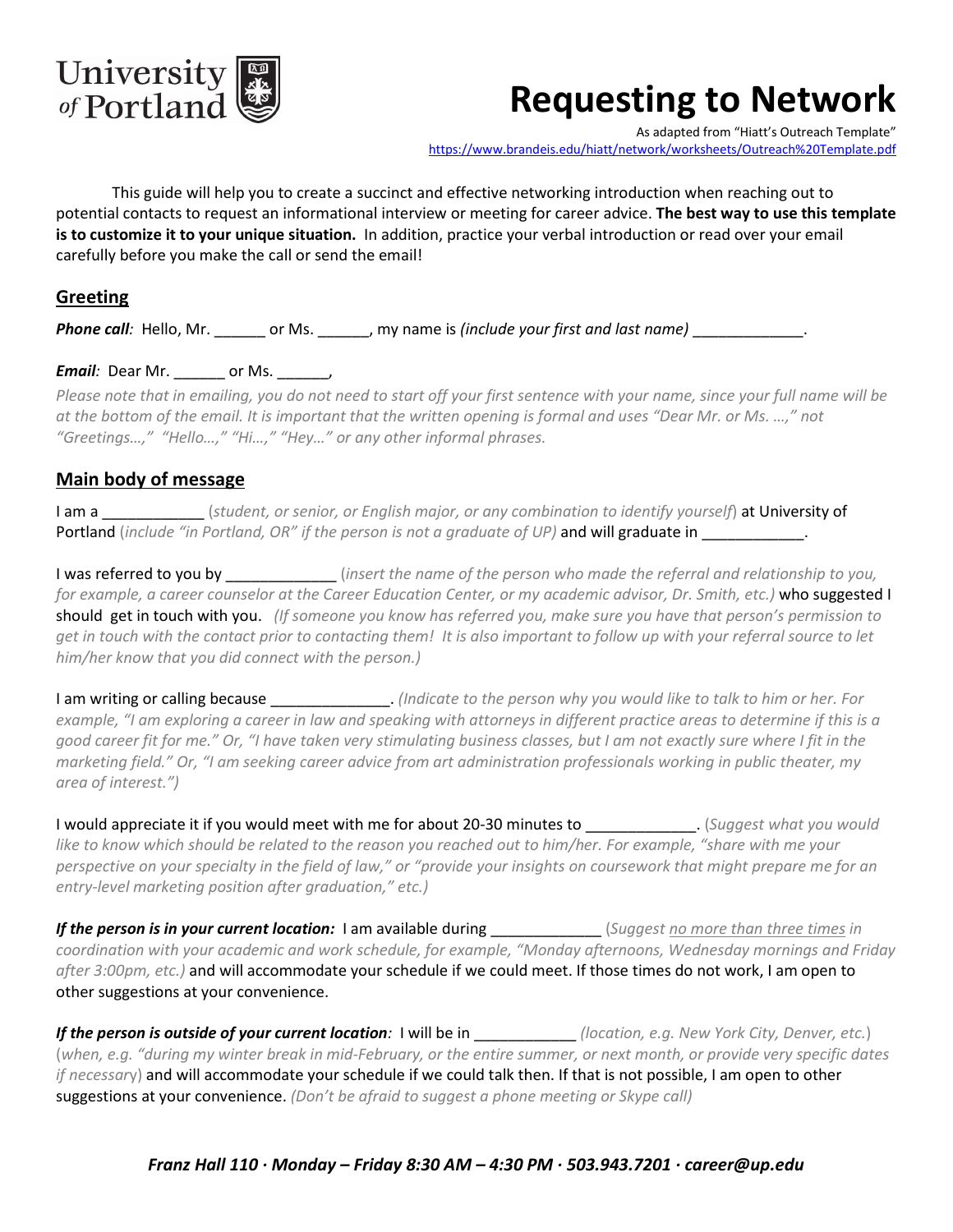

# **Requesting to Network**

As adapted from "Hiatt's Outreach Template" <https://www.brandeis.edu/hiatt/network/worksheets/Outreach%20Template.pdf>

This guide will help you to create a succinct and effective networking introduction when reaching out to potential contacts to request an informational interview or meeting for career advice. **The best way to use this template is to customize it to your unique situation.** In addition, practice your verbal introduction or read over your email carefully before you make the call or send the email!

## **Greeting**

*Phone call:* Hello, Mr. \_\_\_\_\_\_\_ or Ms. \_\_\_\_\_\_, my name is *(include your first and last name)* 

### **Email***:* Dear Mr. \_\_\_\_\_\_\_ or Ms. \_\_\_\_\_\_,

*Please note that in emailing, you do not need to start off your first sentence with your name, since your full name will be at the bottom of the email. It is important that the written opening is formal and uses "Dear Mr. or Ms. …," not "Greetings…," "Hello…," "Hi…," "Hey…" or any other informal phrases.*

#### **Main body of message**

I am a \_\_\_\_\_\_\_\_\_\_\_\_ (*student, or senior, or English major, or any combination to identify yourself*) at University of Portland (*include "in Portland, OR" if the person is not a graduate of UP*) and will graduate in

I was referred to you by \_\_\_\_\_\_\_\_\_\_\_\_\_ (*insert the name of the person who made the referral and relationship to you, for example, a career counselor at the Career Education Center, or my academic advisor, Dr. Smith, etc.)* who suggested I should get in touch with you. *(If someone you know has referred you, make sure you have that person's permission to get in touch with the contact prior to contacting them! It is also important to follow up with your referral source to let him/her know that you did connect with the person.)* 

I am writing or calling because \_\_\_\_\_\_\_\_\_\_\_\_\_\_. *(Indicate to the person why you would like to talk to him or her. For example, "I am exploring a career in law and speaking with attorneys in different practice areas to determine if this is a good career fit for me." Or, "I have taken very stimulating business classes, but I am not exactly sure where I fit in the marketing field." Or, "I am seeking career advice from art administration professionals working in public theater, my area of interest.")*

I would appreciate it if you would meet with me for about 20-30 minutes to \_\_\_\_\_\_\_\_\_\_\_\_\_. (*Suggest what you would like to know which should be related to the reason you reached out to him/her. For example, "share with me your perspective on your specialty in the field of law," or "provide your insights on coursework that might prepare me for an entry-level marketing position after graduation," etc.)*

*If the person is in your current location:* I am available during \_\_\_\_\_\_\_\_\_\_\_\_\_ (*Suggest no more than three times in coordination with your academic and work schedule, for example, "Monday afternoons, Wednesday mornings and Friday after 3:00pm, etc.)* and will accommodate your schedule if we could meet. If those times do not work, I am open to other suggestions at your convenience.

*If the person is outside of your current location:* I will be in \_\_\_\_\_\_\_\_\_\_\_\_\_(location, e.g. New York City, Denver, etc.) (*when, e.g. "during my winter break in mid-February, or the entire summer, or next month, or provide very specific dates if necessar*y) and will accommodate your schedule if we could talk then. If that is not possible, I am open to other suggestions at your convenience. *(Don't be afraid to suggest a phone meeting or Skype call)*